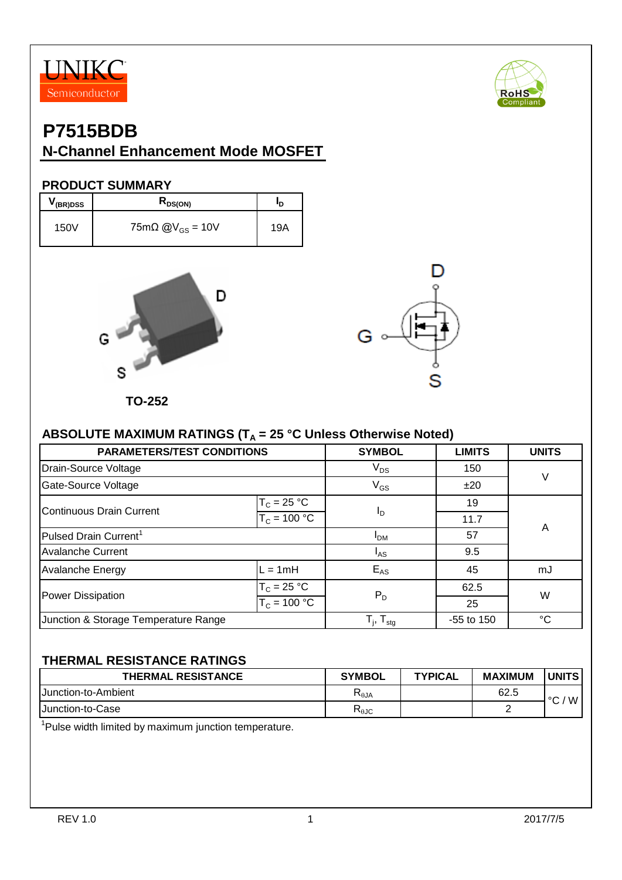



### **P7515BDB**

#### **N-Channel Enhancement Mode MOSFET**

#### **PRODUCT SUMMARY**

| $V$ (BR)DSS | $R_{DS(ON)}$                       | חי  |
|-------------|------------------------------------|-----|
| 150V        | $75m\Omega$ @V <sub>GS</sub> = 10V | 19A |





**TO-252**

#### ABSOLUTE MAXIMUM RATINGS (T<sub>A</sub> = 25 °C Unless Otherwise Noted)

| <b>PARAMETERS/TEST CONDITIONS</b>    | <b>SYMBOL</b>                         | <b>LIMITS</b> | <b>UNITS</b> |    |  |
|--------------------------------------|---------------------------------------|---------------|--------------|----|--|
| Drain-Source Voltage                 | $V_{DS}$                              | 150           |              |    |  |
| Gate-Source Voltage                  | $V_{GS}$                              | $\vee$        |              |    |  |
| <b>Continuous Drain Current</b>      | $T_c = 25 °C$                         |               | 19           |    |  |
|                                      | $T_c = 100 °C$                        | ΙD            | 11.7         |    |  |
| Pulsed Drain Current <sup>1</sup>    | I <sub>DM</sub>                       | 57            | A            |    |  |
| <b>Avalanche Current</b>             | $I_{AS}$                              | 9.5           |              |    |  |
| Avalanche Energy                     | $L = 1mH$                             | $E_{AS}$      | 45           | mJ |  |
| Power Dissipation                    | $T_c = 25 °C$                         | $P_D$         | 62.5         | W  |  |
|                                      | $T_c = 100 °C$                        |               | 25           |    |  |
| Junction & Storage Temperature Range | ${\sf T}_{\sf j},\,{\sf T}_{\sf stg}$ | -55 to 150    | $^{\circ}C$  |    |  |

#### **THERMAL RESISTANCE RATINGS**

| <b>THERMAL RESISTANCE</b>   | <b>SYMBOL</b>  | <b>TYPICAL</b> | <b>MAXIMUM</b> | <b>UNITS</b> |
|-----------------------------|----------------|----------------|----------------|--------------|
| <b>IJunction-to-Ambient</b> | $R_{\theta$ JA |                | 62.5           | W<br>$\sim$  |
| <b>IJunction-to-Case</b>    | $R_{\theta$ JC |                | -              |              |

<sup>1</sup>Pulse width limited by maximum junction temperature.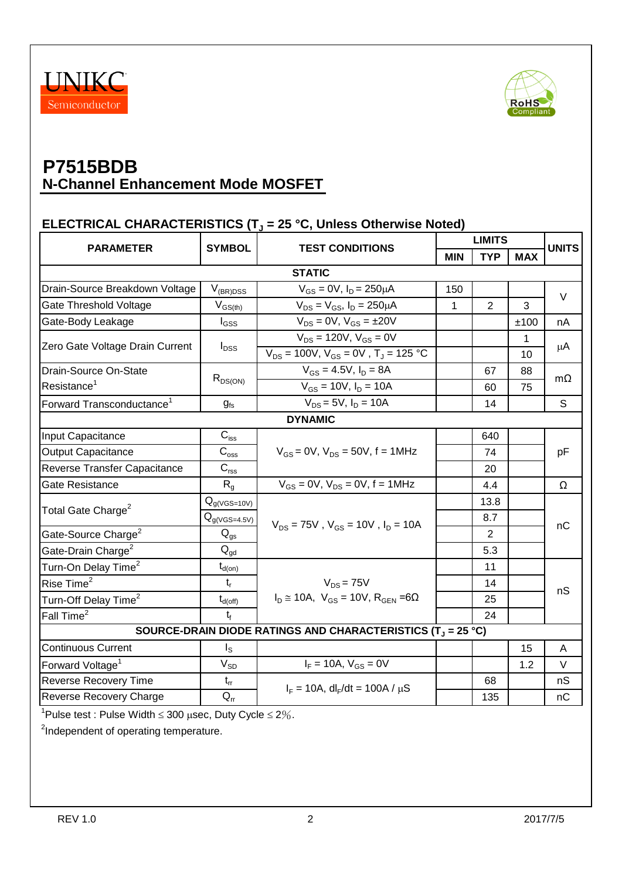



#### **ELECTRICAL CHARACTERISTICS (T<sup>J</sup> = 25 °C, Unless Otherwise Noted)**

| <b>PARAMETER</b>                                                                                                                                    | <b>SYMBOL</b><br><b>TEST CONDITIONS</b> |                                                          | <b>LIMITS</b> |                |              | <b>UNITS</b> |
|-----------------------------------------------------------------------------------------------------------------------------------------------------|-----------------------------------------|----------------------------------------------------------|---------------|----------------|--------------|--------------|
|                                                                                                                                                     |                                         |                                                          | <b>MIN</b>    | <b>TYP</b>     | <b>MAX</b>   |              |
| <b>STATIC</b>                                                                                                                                       |                                         |                                                          |               |                |              |              |
| Drain-Source Breakdown Voltage                                                                                                                      | $V_{(BR)DSS}$                           | $V_{GS} = 0V$ , $I_D = 250 \mu A$                        | 150           |                |              | $\vee$       |
| Gate Threshold Voltage                                                                                                                              | $V_{GS(th)}$                            | $V_{DS} = V_{GS}$ , $I_D = 250 \mu A$                    | $\mathbf{1}$  | $\overline{2}$ | 3            |              |
| Gate-Body Leakage                                                                                                                                   | $\mathsf{I}_{\mathsf{GSS}}$             | $V_{DS} = 0V$ , $V_{GS} = \pm 20V$                       |               |                | ±100         | nA           |
|                                                                                                                                                     |                                         | $V_{DS} = 120V, V_{GS} = 0V$                             |               |                | $\mathbf{1}$ |              |
| Zero Gate Voltage Drain Current                                                                                                                     | $I_{DSS}$                               | $V_{DS} = 100V, V_{GS} = 0V, T_J = 125 °C$               |               |                | 10           | μA           |
| Drain-Source On-State                                                                                                                               |                                         | $V_{GS} = 4.5V$ , $I_D = 8A$                             |               | 67             | 88           |              |
| Resistance <sup>1</sup>                                                                                                                             | $R_{DS(ON)}$                            | $V_{GS} = 10V, I_D = 10A$                                |               | 60             | 75           | $m\Omega$    |
| Forward Transconductance <sup>1</sup>                                                                                                               | $g_{\rm fs}$                            | $V_{DS} = 5V$ , $I_D = 10A$                              |               | 14             |              | S            |
|                                                                                                                                                     |                                         | <b>DYNAMIC</b>                                           |               |                |              |              |
| Input Capacitance                                                                                                                                   | $\mathbf{C}_{\text{iss}}$               |                                                          |               | 640            |              | pF           |
| <b>Output Capacitance</b>                                                                                                                           | $\mathsf{\bar{C}_{oss}}$                | $V_{GS} = 0V$ , $V_{DS} = 50V$ , f = 1MHz                |               | 74             |              |              |
| Reverse Transfer Capacitance                                                                                                                        | $C_{\text{rss}}$                        |                                                          |               | 20             |              |              |
| Gate Resistance                                                                                                                                     | $R_{q}$                                 | $V_{GS} = 0V$ , $V_{DS} = 0V$ , $f = 1MHz$               |               | 4.4            |              | Ω            |
|                                                                                                                                                     | $Q_{g(VGS=10V)}$                        |                                                          |               | 13.8           |              | nC           |
| Total Gate Charge <sup>2</sup>                                                                                                                      | $Q_{g(VGS=4.5V)}$                       | $V_{DS}$ = 75V, $V_{GS}$ = 10V, $I_D$ = 10A              |               | 8.7            |              |              |
| Gate-Source Charge <sup>2</sup>                                                                                                                     | $Q_{gs}$                                |                                                          |               | $\overline{2}$ |              |              |
| Gate-Drain Charge <sup>2</sup>                                                                                                                      | $\mathsf{Q}_{\mathsf{gd}}$              |                                                          |               | 5.3            |              |              |
| Turn-On Delay Time <sup>2</sup>                                                                                                                     | $t_{d(on)}$                             |                                                          |               | 11             |              |              |
| Rise Time <sup>2</sup>                                                                                                                              | $t_{r}$                                 | $V_{DS}$ = 75V                                           |               | 14             |              | nS           |
| Turn-Off Delay Time <sup>2</sup>                                                                                                                    | $t_{d(\text{off})}$                     | $I_D \approx 10A$ , $V_{GS} = 10V$ , $R_{GEN} = 6\Omega$ |               | 25             |              |              |
| Fall Time <sup>2</sup>                                                                                                                              | $t_{\rm f}$                             |                                                          |               | 24             |              |              |
| SOURCE-DRAIN DIODE RATINGS AND CHARACTERISTICS (T <sub>J</sub> = 25 °C)                                                                             |                                         |                                                          |               |                |              |              |
| <b>Continuous Current</b>                                                                                                                           | $I_{\rm S}$                             |                                                          |               |                | 15           | A            |
| Forward Voltage <sup>1</sup>                                                                                                                        | $V_{SD}$                                | $I_F = 10A, V_{GS} = 0V$                                 |               |                | 1.2          | V            |
| Reverse Recovery Time                                                                                                                               | $t_{rr}$                                | $I_F = 10A$ , dl <sub>F</sub> /dt = 100A / $\mu$ S       |               | 68             |              | nS           |
| Reverse Recovery Charge                                                                                                                             | $Q_{rr}$                                |                                                          |               | 135            |              | nC           |
| $1_{\text{Dulge}}$ test $\overline{\text{Dulge}}$ Width $\geq$ 200 $\overline{\text{O}}$ $\overline{\text{Oul}}$ $\overline{\text{Oul}}$ $\geq$ 201 |                                         |                                                          |               |                |              |              |

<sup>1</sup>Pulse test : Pulse Width  $\leq 300$   $\mu$ sec, Duty Cycle  $\leq 2\%$ .

<sup>2</sup>Independent of operating temperature.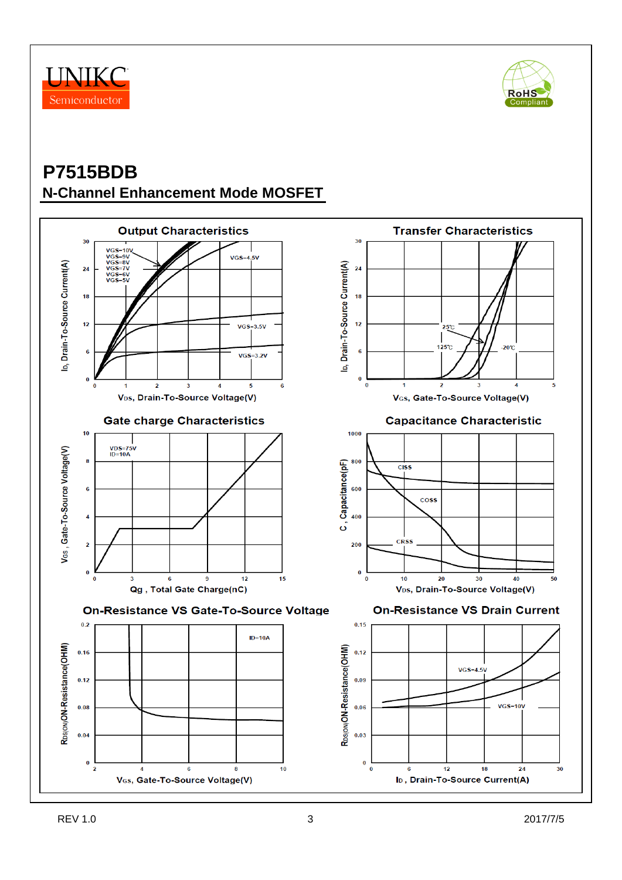



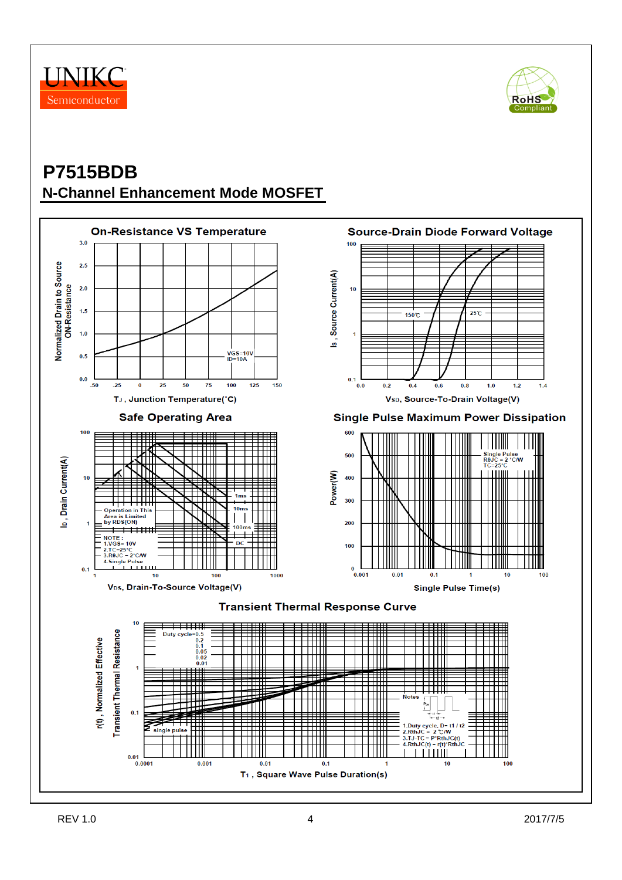



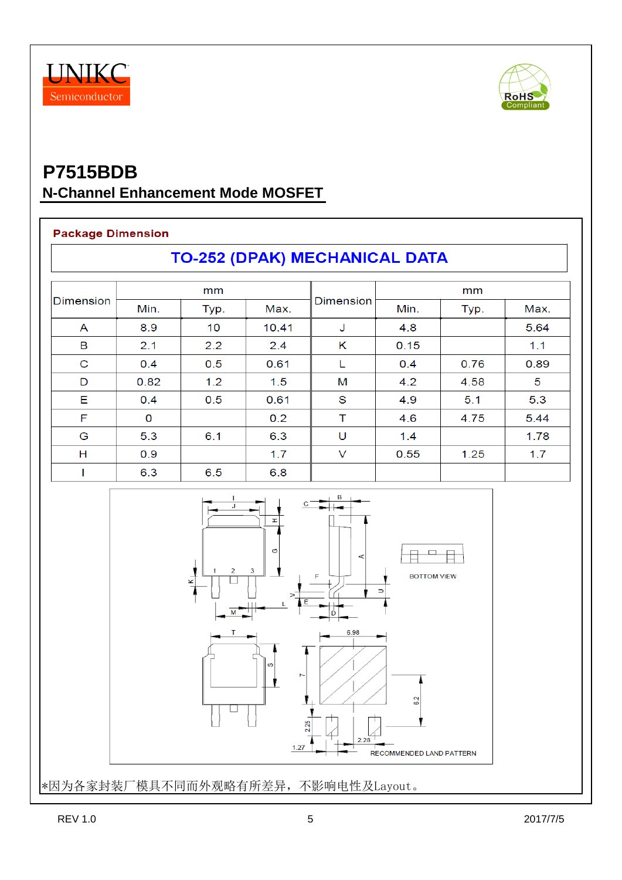



#### **Package Dimension**

**TO-252 (DPAK) MECHANICAL DATA** 

| <b>Dimension</b> | mm   |      |       |           | mm   |      |      |
|------------------|------|------|-------|-----------|------|------|------|
|                  | Min. | Typ. | Max.  | Dimension | Min. | Typ. | Max. |
| A                | 8.9  | 10   | 10.41 | J         | 4.8  |      | 5.64 |
| B                | 2.1  | 2.2  | 2.4   | K         | 0.15 |      | 1.1  |
| C                | 0.4  | 0.5  | 0.61  | L         | 0.4  | 0.76 | 0.89 |
| D                | 0.82 | 1.2  | 1.5   | M         | 4.2  | 4.58 | 5    |
| E                | 0.4  | 0.5  | 0.61  | S         | 4.9  | 5.1  | 5.3  |
| F                | 0    |      | 0.2   | т         | 4.6  | 4.75 | 5.44 |
| G                | 5.3  | 6.1  | 6.3   | U         | 1.4  |      | 1.78 |
| Н                | 0.9  |      | 1.7   | V         | 0.55 | 1.25 | 1.7  |
|                  | 6.3  | 6.5  | 6.8   |           |      |      |      |



\*因为各家封装厂模具不同而外观略有所差异,不影响电性及Layout。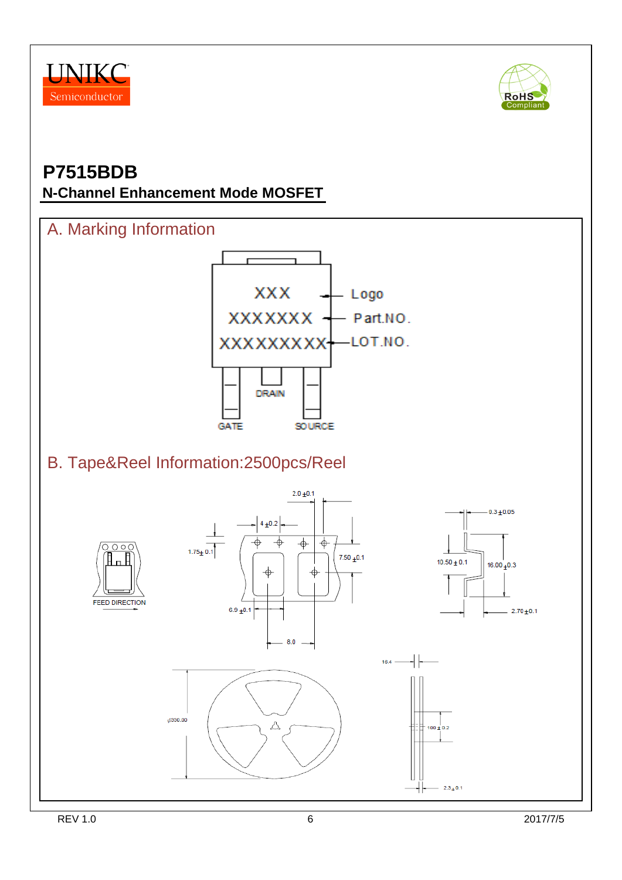



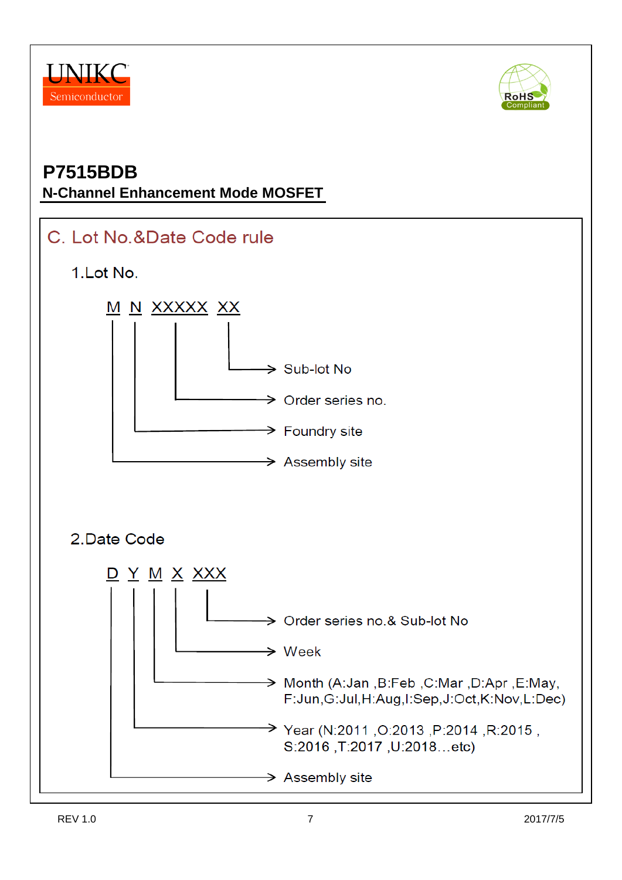